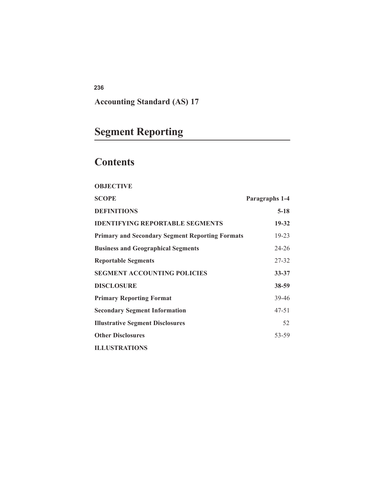**Accounting Standard (AS) 17**

# **Segment Reporting**

# **Contents**

| <b>OBJECTIVE</b>                                       |                |
|--------------------------------------------------------|----------------|
| <b>SCOPE</b>                                           | Paragraphs 1-4 |
| <b>DEFINITIONS</b>                                     | $5-18$         |
| <b>IDENTIFYING REPORTABLE SEGMENTS</b>                 | $19 - 32$      |
| <b>Primary and Secondary Segment Reporting Formats</b> | $19 - 23$      |
| <b>Business and Geographical Segments</b>              | $24 - 26$      |
| <b>Reportable Segments</b>                             | $27 - 32$      |
| <b>SEGMENT ACCOUNTING POLICIES</b>                     | $33 - 37$      |
| <b>DISCLOSURE</b>                                      | $38 - 59$      |
| <b>Primary Reporting Format</b>                        | 39-46          |
| <b>Secondary Segment Information</b>                   | $47 - 51$      |
| <b>Illustrative Segment Disclosures</b>                | 52             |
| <b>Other Disclosures</b>                               | 53-59          |
| <b>ILLUSTRATIONS</b>                                   |                |

**236**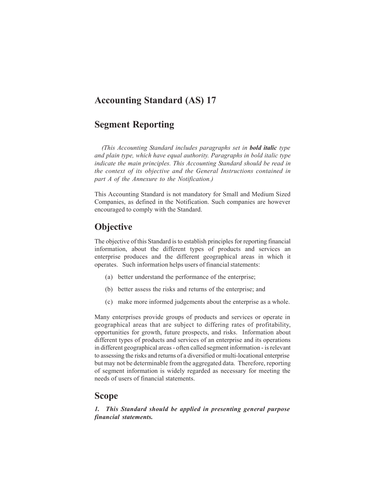## **Accounting Standard (AS) 17**

## **Segment Reporting**

*(This Accounting Standard includes paragraphs set in bold italic type and plain type, which have equal authority. Paragraphs in bold italic type indicate the main principles. This Accounting Standard should be read in the context of its objective and the General Instructions contained in part A of the Annexure to the Notification.)*

This Accounting Standard is not mandatory for Small and Medium Sized Companies, as defined in the Notification. Such companies are however encouraged to comply with the Standard.

## **Objective**

The objective of this Standard is to establish principles for reporting financial information, about the different types of products and services an enterprise produces and the different geographical areas in which it operates. Such information helps users of financial statements:

- (a) better understand the performance of the enterprise;
- (b) better assess the risks and returns of the enterprise; and
- (c) make more informed judgements about the enterprise as a whole.

Many enterprises provide groups of products and services or operate in geographical areas that are subject to differing rates of profitability, opportunities for growth, future prospects, and risks. Information about different types of products and services of an enterprise and its operations in different geographical areas - often called segment information - is relevant to assessing the risks and returns of a diversified or multi-locational enterprise but may not be determinable from the aggregated data. Therefore, reporting of segment information is widely regarded as necessary for meeting the needs of users of financial statements.

### **Scope**

#### *1. This Standard should be applied in presenting general purpose financial statements.*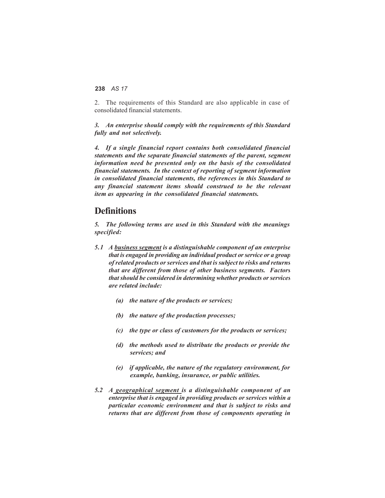2. The requirements of this Standard are also applicable in case of consolidated financial statements.

*3. An enterprise should comply with the requirements of this Standard fully and not selectively.*

*4. If a single financial report contains both consolidated financial statements and the separate financial statements of the parent, segment information need be presented only on the basis of the consolidated financial statements. In the context of reporting of segment information in consolidated financial statements, the references in this Standard to any financial statement items should construed to be the relevant item as appearing in the consolidated financial statements.*

### **Definitions**

*5. The following terms are used in this Standard with the meanings specified:*

- *5.1 A business segment is a distinguishable component of an enterprise that is engaged in providing an individual product or service or a group of related products or services and that is subject to risks and returns that are different from those of other business segments. Factors that should be considered in determining whether products or services are related include:*
	- *(a) the nature of the products or services;*
	- *(b) the nature of the production processes;*
	- *(c) the type or class of customers for the products or services;*
	- *(d) the methods used to distribute the products or provide the services; and*
	- *(e) if applicable, the nature of the regulatory environment, for example, banking, insurance, or public utilities.*
- *5.2 A geographical segment is a distinguishable component of an enterprise that is engaged in providing products or services within a particular economic environment and that is subject to risks and returns that are different from those of components operating in*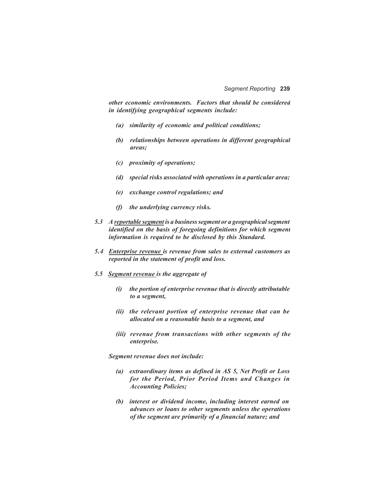*other economic environments. Factors that should be considered in identifying geographical segments include:*

- *(a) similarity of economic and political conditions;*
- *(b) relationships between operations in different geographical areas;*
- *(c) proximity of operations;*
- *(d) special risks associated with operations in a particular area;*
- *(e) exchange control regulations; and*
- *(f) the underlying currency risks.*
- *5.3 A reportable segment is a business segment or a geographicalsegment identified on the basis of foregoing definitions for which segment information is required to be disclosed by this Standard.*
- *5.4 Enterprise revenue is revenue from sales to external customers as reported in the statement of profit and loss.*
- *5.5 Segment revenue is the aggregate of*
	- *(i) the portion of enterprise revenue that is directly attributable to a segment,*
	- *(ii) the relevant portion of enterprise revenue that can be allocated on a reasonable basis to a segment, and*
	- *(iii) revenue from transactions with other segments of the enterprise.*

*Segment revenue does not include:*

- *(a) extraordinary items as defined in AS 5, Net Profit or Loss for the Period, Prior Period Items and Changes in Accounting Policies;*
- *(b) interest or dividend income, including interest earned on advances or loans to other segments unless the operations of the segment are primarily of a financial nature; and*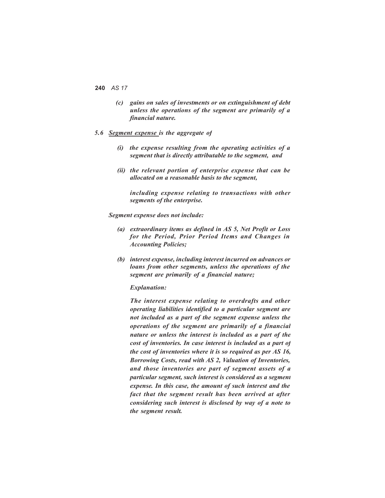- *(c) gains on sales of investments or on extinguishment of debt unless the operations of the segment are primarily of a financial nature.*
- *5.6 Segment expense is the aggregate of*
	- *(i) the expense resulting from the operating activities of a segment that is directly attributable to the segment, and*
	- *(ii) the relevant portion of enterprise expense that can be allocated on a reasonable basis to the segment,*

*including expense relating to transactions with other segments of the enterprise.*

*Segment expense does not include:*

- *(a) extraordinary items as defined in AS 5, Net Profit or Loss for the Period, Prior Period Items and Changes in Accounting Policies;*
- *(b) interest expense, including interest incurred on advances or loans from other segments, unless the operations of the segment are primarily of a financial nature;*

#### *Explanation:*

*The interest expense relating to overdrafts and other operating liabilities identified to a particular segment are not included as a part of the segment expense unless the operations of the segment are primarily of a financial nature or unless the interest is included as a part of the cost of inventories. In case interest is included as a part of the cost of inventories where it is so required as per AS 16, Borrowing Costs, read with AS 2, Valuation of Inventories, and those inventories are part of segment assets of a particular segment, such interest is considered as a segment expense. In this case, the amount of such interest and the fact that the segment result has been arrived at after considering such interest is disclosed by way of a note to the segment result.*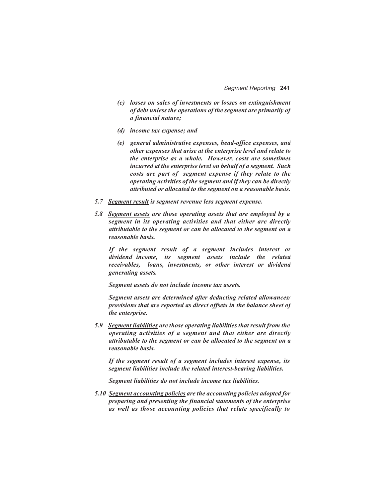- *(c) losses on sales of investments or losses on extinguishment of debt unless the operations of the segment are primarily of a financial nature;*
- *(d) income tax expense; and*
- *(e) general administrative expenses, head-office expenses, and other expenses that arise at the enterprise level and relate to the enterprise as a whole. However, costs are sometimes incurred at the enterprise level on behalf of a segment. Such costs are part of segment expense if they relate to the operating activities of the segment and if they can be directly attributed or allocated to the segment on a reasonable basis.*
- *5.7 Segment result is segment revenue less segment expense.*
- *5.8 Segment assets are those operating assets that are employed by a segment in its operating activities and that either are directly attributable to the segment or can be allocated to the segment on a reasonable basis.*

*If the segment result of a segment includes interest or dividend income, its segment assets include the related receivables, loans, investments, or other interest or dividend generating assets.*

*Segment assets do not include income tax assets.*

*Segment assets are determined after deducting related allowances/ provisions that are reported as direct offsets in the balance sheet of the enterprise.*

*5.9 Segment liabilities are those operating liabilities that result from the operating activities of a segment and that either are directly attributable to the segment or can be allocated to the segment on a reasonable basis.*

*If the segment result of a segment includes interest expense, its segment liabilities include the related interest-bearing liabilities.*

*Segment liabilities do not include income tax liabilities.*

*5.10 Segment accounting policies are the accounting policies adopted for preparing and presenting the financial statements of the enterprise as well as those accounting policies that relate specifically to*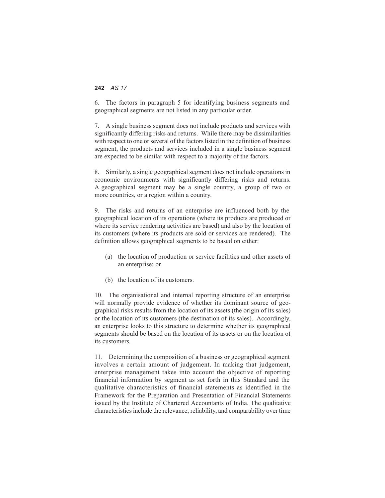6. The factors in paragraph 5 for identifying business segments and geographical segments are not listed in any particular order.

7. A single business segment does not include products and services with significantly differing risks and returns. While there may be dissimilarities with respect to one or several of the factors listed in the definition of business segment, the products and services included in a single business segment are expected to be similar with respect to a majority of the factors.

8. Similarly, a single geographical segment does not include operations in economic environments with significantly differing risks and returns. A geographical segment may be a single country, a group of two or more countries, or a region within a country.

9. The risks and returns of an enterprise are influenced both by the geographical location of its operations (where its products are produced or where its service rendering activities are based) and also by the location of its customers (where its products are sold or services are rendered). The definition allows geographical segments to be based on either:

- (a) the location of production or service facilities and other assets of an enterprise; or
- (b) the location of its customers.

10. The organisational and internal reporting structure of an enterprise will normally provide evidence of whether its dominant source of geographical risks results from the location of its assets (the origin of its sales) or the location of its customers (the destination of its sales). Accordingly, an enterprise looks to this structure to determine whether its geographical segments should be based on the location of its assets or on the location of its customers.

11. Determining the composition of a business or geographical segment involves a certain amount of judgement. In making that judgement, enterprise management takes into account the objective of reporting financial information by segment as set forth in this Standard and the qualitative characteristics of financial statements as identified in the Framework for the Preparation and Presentation of Financial Statements issued by the Institute of Chartered Accountants of India. The qualitative characteristics include the relevance, reliability, and comparability over time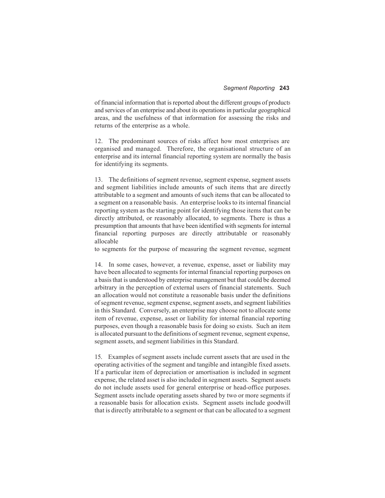of financial information that is reported about the different groups of products and services of an enterprise and about its operations in particular geographical areas, and the usefulness of that information for assessing the risks and returns of the enterprise as a whole.

12. The predominant sources of risks affect how most enterprises are organised and managed. Therefore, the organisational structure of an enterprise and its internal financial reporting system are normally the basis for identifying its segments.

13. The definitions of segment revenue, segment expense, segment assets and segment liabilities include amounts of such items that are directly attributable to a segment and amounts of such items that can be allocated to a segment on a reasonable basis. An enterprise looks to its internal financial reporting system as the starting point for identifying those items that can be directly attributed, or reasonably allocated, to segments. There is thus a presumption that amounts that have been identified with segments for internal financial reporting purposes are directly attributable or reasonably allocable

to segments for the purpose of measuring the segment revenue, segment

14. In some cases, however, a revenue, expense, asset or liability may have been allocated to segments for internal financial reporting purposes on a basis that is understood by enterprise management but that could be deemed arbitrary in the perception of external users of financial statements. Such an allocation would not constitute a reasonable basis under the definitions of segment revenue, segment expense, segment assets, and segment liabilities in this Standard. Conversely, an enterprise may choose not to allocate some item of revenue, expense, asset or liability for internal financial reporting purposes, even though a reasonable basis for doing so exists. Such an item is allocated pursuant to the definitions of segment revenue, segment expense, segment assets, and segment liabilities in this Standard.

15. Examples of segment assets include current assets that are used in the operating activities of the segment and tangible and intangible fixed assets. If a particular item of depreciation or amortisation is included in segment expense, the related asset is also included in segment assets. Segment assets do not include assets used for general enterprise or head-office purposes. Segment assets include operating assets shared by two or more segments if a reasonable basis for allocation exists. Segment assets include goodwill that is directly attributable to a segment or that can be allocated to a segment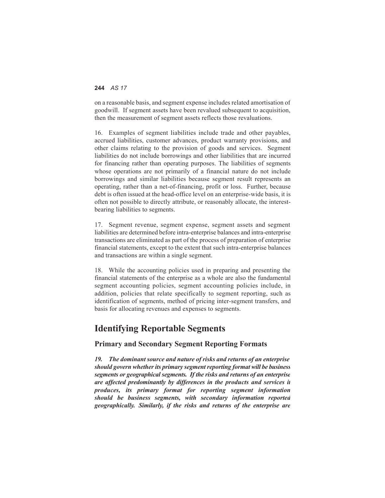on a reasonable basis, and segment expense includes related amortisation of goodwill. If segment assets have been revalued subsequent to acquisition, then the measurement of segment assets reflects those revaluations.

16. Examples of segment liabilities include trade and other payables, accrued liabilities, customer advances, product warranty provisions, and other claims relating to the provision of goods and services. Segment liabilities do not include borrowings and other liabilities that are incurred for financing rather than operating purposes. The liabilities of segments whose operations are not primarily of a financial nature do not include borrowings and similar liabilities because segment result represents an operating, rather than a net-of-financing, profit or loss. Further, because debt is often issued at the head-office level on an enterprise-wide basis, it is often not possible to directly attribute, or reasonably allocate, the interestbearing liabilities to segments.

17. Segment revenue, segment expense, segment assets and segment liabilities are determined before intra-enterprise balances and intra-enterprise transactions are eliminated as part of the process of preparation of enterprise financial statements, except to the extent that such intra-enterprise balances and transactions are within a single segment.

18. While the accounting policies used in preparing and presenting the financial statements of the enterprise as a whole are also the fundamental segment accounting policies, segment accounting policies include, in addition, policies that relate specifically to segment reporting, such as identification of segments, method of pricing inter-segment transfers, and basis for allocating revenues and expenses to segments.

## **Identifying Reportable Segments**

#### **Primary and Secondary Segment Reporting Formats**

*19. The dominant source and nature of risks and returns of an enterprise should govern whether its primary segment reporting format will be business segments or geographical segments. If the risks and returns of an enterprise are affected predominantly by differences in the products and services it produces, its primary format for reporting segment information should be business segments, with secondary information reported geographically. Similarly, if the risks and returns of the enterprise are*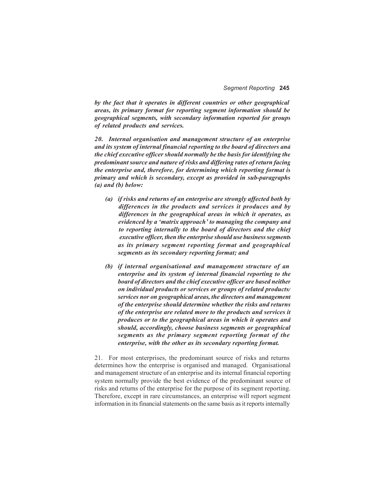*by the fact that it operates in different countries or other geographical areas, its primary format for reporting segment information should be geographical segments, with secondary information reported for groups of related products and services.*

*20. Internal organisation and management structure of an enterprise and its system of internal financial reporting to the board of directors and the chief executive officer should normally be the basis for identifying the predominant source and nature of risks and differing rates of return facing the enterprise and, therefore, for determining which reporting format is primary and which is secondary, except as provided in sub-paragraphs (a) and (b) below:*

- *(a) if risks and returns of an enterprise are strongly affected both by differences in the products and services it produces and by differences in the geographical areas in which it operates, as evidenced by a 'matrix approach' to managing the company and to reporting internally to the board of directors and the chief executive officer, then the enterprise should use business segments as its primary segment reporting format and geographical segments as its secondary reporting format; and*
- *(b) if internal organisational and management structure of an enterprise and its system of internal financial reporting to the board of directors and the chief executive officer are based neither on individual products or services or groups of related products/ services nor on geographical areas, the directors and management of the enterprise should determine whether the risks and returns of the enterprise are related more to the products and services it produces or to the geographical areas in which it operates and should, accordingly, choose business segments or geographical segments as the primary segment reporting format of the enterprise, with the other as its secondary reporting format.*

21. For most enterprises, the predominant source of risks and returns determines how the enterprise is organised and managed. Organisational and management structure of an enterprise and its internal financial reporting system normally provide the best evidence of the predominant source of risks and returns of the enterprise for the purpose of its segment reporting. Therefore, except in rare circumstances, an enterprise will report segment information in its financial statements on the same basis as it reports internally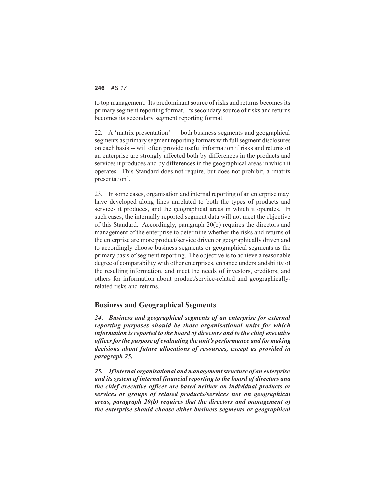to top management. Its predominant source of risks and returns becomes its primary segment reporting format. Its secondary source of risks and returns becomes its secondary segment reporting format.

22. A 'matrix presentation' — both business segments and geographical segments as primary segment reporting formats with full segment disclosures on each basis -- will often provide useful information if risks and returns of an enterprise are strongly affected both by differences in the products and services it produces and by differences in the geographical areas in which it operates. This Standard does not require, but does not prohibit, a 'matrix presentation'.

23. In some cases, organisation and internal reporting of an enterprise may have developed along lines unrelated to both the types of products and services it produces, and the geographical areas in which it operates. In such cases, the internally reported segment data will not meet the objective of this Standard. Accordingly, paragraph 20(b) requires the directors and management of the enterprise to determine whether the risks and returns of the enterprise are more product/service driven or geographically driven and to accordingly choose business segments or geographical segments as the primary basis of segment reporting. The objective is to achieve a reasonable degree of comparability with other enterprises, enhance understandability of the resulting information, and meet the needs of investors, creditors, and others for information about product/service-related and geographicallyrelated risks and returns.

#### **Business and Geographical Segments**

*24. Business and geographical segments of an enterprise for external reporting purposes should be those organisational units for which information is reported to the board of directors and to the chief executive officer for the purpose of evaluating the unit's performance and for making decisions about future allocations of resources, except as provided in paragraph 25.*

*25. If internal organisational and managementstructure of an enterprise and its system of internal financial reporting to the board of directors and the chief executive officer are based neither on individual products or services or groups of related products/services nor on geographical areas, paragraph 20(b) requires that the directors and management of the enterprise should choose either business segments or geographical*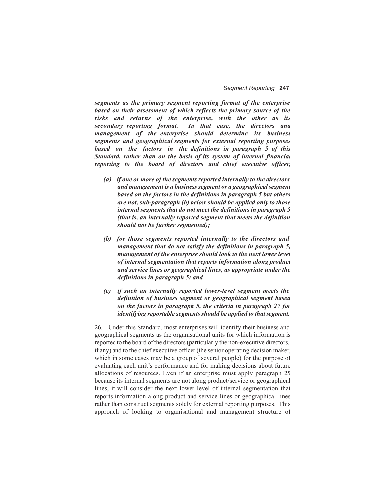*segments as the primary segment reporting format of the enterprise based on their assessment of which reflects the primary source of the risks and returns of the enterprise, with the other as its secondary reporting format. In that case, the directors and management of the enterprise should determine its business segments and geographical segments for external reporting purposes based on the factors in the definitions in paragraph 5 of this Standard, rather than on the basis of its system of internal financial reporting to the board of directors and chief executive officer,*

- *(a) if one or more of the segments reported internally to the directors and management is a business segment or a geographical segment based on the factors in the definitions in paragraph 5 but others are not, sub-paragraph (b) below should be applied only to those internal segments that do not meet the definitions in paragraph 5 (that is, an internally reported segment that meets the definition should not be further segmented);*
- *(b) for those segments reported internally to the directors and management that do not satisfy the definitions in paragraph 5, management of the enterprise should look to the next lower level of internal segmentation that reports information along product and service lines or geographical lines, as appropriate under the definitions in paragraph 5; and*
- *(c) if such an internally reported lower-level segment meets the definition of business segment or geographical segment based on the factors in paragraph 5, the criteria in paragraph 27 for identifying reportable segments should be applied to that segment.*

26. Under this Standard, most enterprises will identify their business and geographical segments as the organisational units for which information is reported to the board of the directors (particularly the non-executive directors, if any) and to the chief executive officer (the senior operating decision maker, which in some cases may be a group of several people) for the purpose of evaluating each unit's performance and for making decisions about future allocations of resources. Even if an enterprise must apply paragraph 25 because its internal segments are not along product/service or geographical lines, it will consider the next lower level of internal segmentation that reports information along product and service lines or geographical lines rather than construct segments solely for external reporting purposes. This approach of looking to organisational and management structure of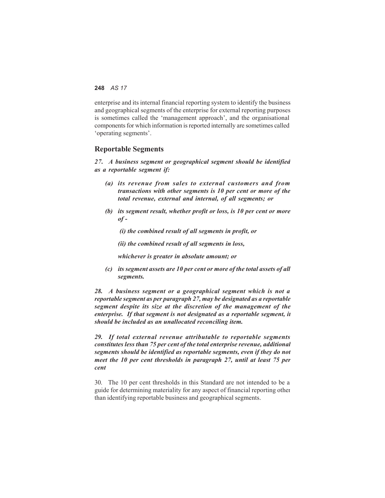enterprise and its internal financial reporting system to identify the business and geographical segments of the enterprise for external reporting purposes is sometimes called the 'management approach', and the organisational components for which information is reported internally are sometimes called 'operating segments'.

#### **Reportable Segments**

*27. A business segment or geographical segment should be identified as a reportable segment if:*

- *(a) its revenue from sales to external customers and from transactions with other segments is 10 per cent or more of the total revenue, external and internal, of all segments; or*
- *(b) its segment result, whether profit or loss, is 10 per cent or more of -*
	- *(i) the combined result of all segments in profit, or*
	- *(ii) the combined result of all segments in loss,*

*whichever is greater in absolute amount; or*

*(c) its segment assets are 10 per cent or more of the total assets of all segments.*

*28. A business segment or a geographical segment which is not a reportable segment as per paragraph 27, may be designated as a reportable segment despite its size at the discretion of the management of the enterprise. If that segment is not designated as a reportable segment, it should be included as an unallocated reconciling item.*

*29. If total external revenue attributable to reportable segments constitutes less than 75 per cent of the total enterprise revenue, additional segments should be identified as reportable segments, even if they do not meet the 10 per cent thresholds in paragraph 27, until at least 75 per cent*

30. The 10 per cent thresholds in this Standard are not intended to be a guide for determining materiality for any aspect of financial reporting other than identifying reportable business and geographical segments.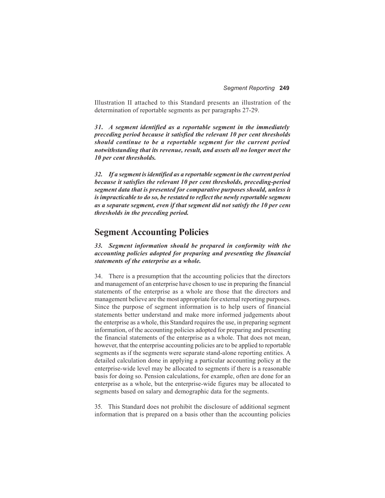Illustration II attached to this Standard presents an illustration of the determination of reportable segments as per paragraphs 27-29.

*31. A segment identified as a reportable segment in the immediately preceding period because it satisfied the relevant 10 per cent thresholds should continue to be a reportable segment for the current period notwithstanding that its revenue, result, and assets all no longer meet the 10 per cent thresholds.*

*32. If a segment is identified as a reportable segment in the current period because it satisfies the relevant 10 per cent thresholds, preceding-period segment data that is presented for comparative purposes should, unless it is impracticable to do so, be restated to reflect the newly reportable segment as a separate segment, even if that segment did not satisfy the 10 per cent thresholds in the preceding period.*

## **Segment Accounting Policies**

*33. Segment information should be prepared in conformity with the accounting policies adopted for preparing and presenting the financial statements of the enterprise as a whole.*

34. There is a presumption that the accounting policies that the directors and management of an enterprise have chosen to use in preparing the financial statements of the enterprise as a whole are those that the directors and management believe are the most appropriate for external reporting purposes. Since the purpose of segment information is to help users of financial statements better understand and make more informed judgements about the enterprise as a whole, this Standard requires the use, in preparing segment information, of the accounting policies adopted for preparing and presenting the financial statements of the enterprise as a whole. That does not mean, however, that the enterprise accounting policies are to be applied to reportable segments as if the segments were separate stand-alone reporting entities. A detailed calculation done in applying a particular accounting policy at the enterprise-wide level may be allocated to segments if there is a reasonable basis for doing so. Pension calculations, for example, often are done for an enterprise as a whole, but the enterprise-wide figures may be allocated to segments based on salary and demographic data for the segments.

35. This Standard does not prohibit the disclosure of additional segment information that is prepared on a basis other than the accounting policies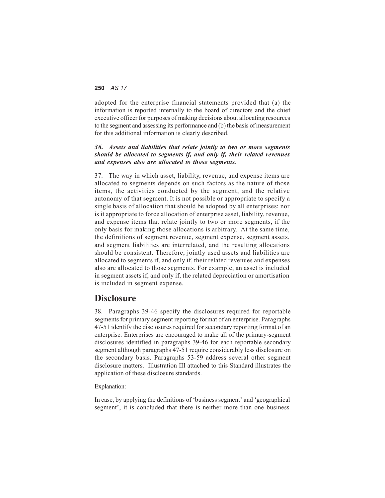adopted for the enterprise financial statements provided that (a) the information is reported internally to the board of directors and the chief executive officer for purposes of making decisions about allocating resources to the segment and assessing its performance and (b) the basis of measurement for this additional information is clearly described.

#### *36. Assets and liabilities that relate jointly to two or more segments should be allocated to segments if, and only if, their related revenues and expenses also are allocated to those segments.*

37. The way in which asset, liability, revenue, and expense items are allocated to segments depends on such factors as the nature of those items, the activities conducted by the segment, and the relative autonomy of that segment. It is not possible or appropriate to specify a single basis of allocation that should be adopted by all enterprises; nor is it appropriate to force allocation of enterprise asset, liability, revenue, and expense items that relate jointly to two or more segments, if the only basis for making those allocations is arbitrary. At the same time, the definitions of segment revenue, segment expense, segment assets, and segment liabilities are interrelated, and the resulting allocations should be consistent. Therefore, jointly used assets and liabilities are allocated to segments if, and only if, their related revenues and expenses also are allocated to those segments. For example, an asset is included in segment assets if, and only if, the related depreciation or amortisation is included in segment expense.

### **Disclosure**

38. Paragraphs 39-46 specify the disclosures required for reportable segments for primary segment reporting format of an enterprise. Paragraphs 47-51 identify the disclosures required for secondary reporting format of an enterprise. Enterprises are encouraged to make all of the primary-segment disclosures identified in paragraphs 39-46 for each reportable secondary segment although paragraphs 47-51 require considerably less disclosure on the secondary basis. Paragraphs 53-59 address several other segment disclosure matters. Illustration III attached to this Standard illustrates the application of these disclosure standards.

Explanation:

In case, by applying the definitions of 'business segment' and 'geographical segment', it is concluded that there is neither more than one business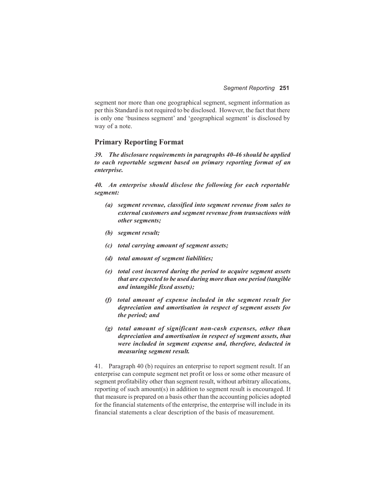segment nor more than one geographical segment, segment information as per this Standard is not required to be disclosed. However, the fact that there is only one 'business segment' and 'geographical segment' is disclosed by way of a note.

#### **Primary Reporting Format**

*39. The disclosure requirements in paragraphs 40-46 should be applied to each reportable segment based on primary reporting format of an enterprise.*

*40. An enterprise should disclose the following for each reportable segment:*

- *(a) segment revenue, classified into segment revenue from sales to external customers and segment revenue from transactions with other segments;*
- *(b) segment result;*
- *(c) total carrying amount of segment assets;*
- *(d) total amount of segment liabilities;*
- *(e) total cost incurred during the period to acquire segment assets that are expected to be used during more than one period (tangible and intangible fixed assets);*
- *(f) total amount of expense included in the segment result for depreciation and amortisation in respect of segment assets for the period; and*
- *(g) total amount of significant non-cash expenses, other than depreciation and amortisation in respect of segment assets, that were included in segment expense and, therefore, deducted in measuring segment result.*

41. Paragraph 40 (b) requires an enterprise to report segment result. If an enterprise can compute segment net profit or loss or some other measure of segment profitability other than segment result, without arbitrary allocations, reporting of such amount(s) in addition to segment result is encouraged. If that measure is prepared on a basis other than the accounting policies adopted for the financial statements of the enterprise, the enterprise will include in its financial statements a clear description of the basis of measurement.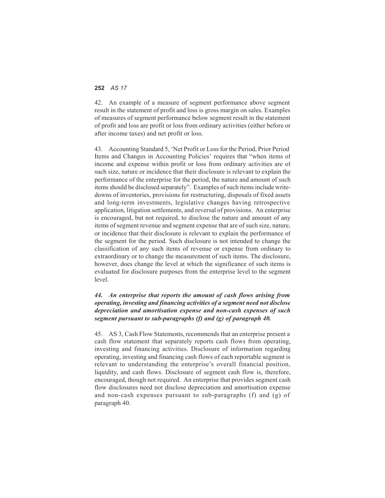42. An example of a measure of segment performance above segment result in the statement of profit and loss is gross margin on sales. Examples of measures of segment performance below segment result in the statement of profit and loss are profit or loss from ordinary activities (either before or after income taxes) and net profit or loss.

43. Accounting Standard 5, 'Net Profit or Loss for the Period, Prior Period Items and Changes in Accounting Policies' requires that "when items of income and expense within profit or loss from ordinary activities are of such size, nature or incidence that their disclosure is relevant to explain the performance of the enterprise for the period, the nature and amount of such items should be disclosed separately". Examples of such items include writedowns of inventories, provisions for restructuring, disposals of fixed assets and long-term investments, legislative changes having retrospective application, litigation settlements, and reversal of provisions. An enterprise is encouraged, but not required, to disclose the nature and amount of any items of segment revenue and segment expense that are of such size, nature, or incidence that their disclosure is relevant to explain the performance of the segment for the period. Such disclosure is not intended to change the classification of any such items of revenue or expense from ordinary to extraordinary or to change the measurement of such items. The disclosure, however, does change the level at which the significance of such items is evaluated for disclosure purposes from the enterprise level to the segment level.

#### *44. An enterprise that reports the amount of cash flows arising from operating, investing and financing activities of a segment need not disclose depreciation and amortisation expense and non-cash expenses of such segment pursuant to sub-paragraphs (f) and (g) of paragraph 40.*

45. AS 3, Cash Flow Statements, recommends that an enterprise present a cash flow statement that separately reports cash flows from operating, investing and financing activities. Disclosure of information regarding operating, investing and financing cash flows of each reportable segment is relevant to understanding the enterprise's overall financial position, liquidity, and cash flows. Disclosure of segment cash flow is, therefore, encouraged, though not required. An enterprise that provides segment cash flow disclosures need not disclose depreciation and amortisation expense and non-cash expenses pursuant to sub-paragraphs (f) and (g) of paragraph 40.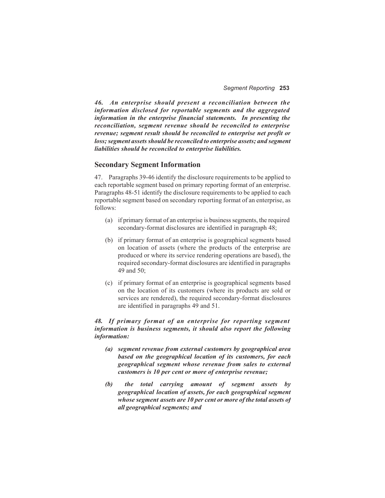*46. An enterprise should present a reconciliation between the information disclosed for reportable segments and the aggregated information in the enterprise financial statements. In presenting the reconciliation, segment revenue should be reconciled to enterprise revenue; segment result should be reconciled to enterprise net profit or loss; segment assets should be reconciled to enterprise assets; and segment liabilities should be reconciled to enterprise liabilities.*

#### **Secondary Segment Information**

47. Paragraphs 39-46 identify the disclosure requirements to be applied to each reportable segment based on primary reporting format of an enterprise. Paragraphs 48-51 identify the disclosure requirements to be applied to each reportable segment based on secondary reporting format of an enterprise, as follows:

- (a) if primary format of an enterprise is business segments, the required secondary-format disclosures are identified in paragraph 48;
- (b) if primary format of an enterprise is geographical segments based on location of assets (where the products of the enterprise are produced or where its service rendering operations are based), the required secondary-format disclosures are identified in paragraphs 49 and 50;
- (c) if primary format of an enterprise is geographical segments based on the location of its customers (where its products are sold or services are rendered), the required secondary-format disclosures are identified in paragraphs 49 and 51.

#### *48. If primary format of an enterprise for reporting segment information is business segments, it should also report the following information:*

- *(a) segment revenue from external customers by geographical area based on the geographical location of its customers, for each geographical segment whose revenue from sales to external customers is 10 per cent or more of enterprise revenue;*
- *(b) the total carrying amount of segment assets by geographical location of assets, for each geographical segment whose segment assets are 10 per cent or more of the total assets of all geographical segments; and*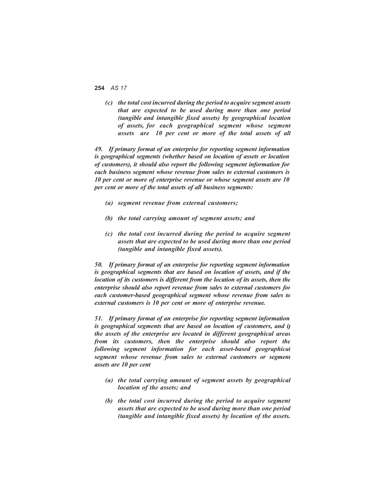*(c) the total cost incurred during the period to acquire segment assets that are expected to be used during more than one period (tangible and intangible fixed assets) by geographical location of assets, for each geographical segment whose segment assets are 10 per cent or more of the total assets of all*

*49. If primary format of an enterprise for reporting segment information is geographical segments (whether based on location of assets or location of customers), it should also report the following segment information for each business segment whose revenue from sales to external customers is 10 per cent or more of enterprise revenue or whose segment assets are 10 per cent or more of the total assets of all business segments:*

- *(a) segment revenue from external customers;*
- *(b) the total carrying amount of segment assets; and*
- *(c) the total cost incurred during the period to acquire segment assets that are expected to be used during more than one period (tangible and intangible fixed assets).*

*50. If primary format of an enterprise for reporting segment information is geographical segments that are based on location of assets, and if the location of its customers is different from the location of its assets, then the enterprise should also report revenue from sales to external customers for each customer-based geographical segment whose revenue from sales to external customers is 10 per cent or more of enterprise revenue.*

*51. If primary format of an enterprise for reporting segment information is geographical segments that are based on location of customers, and if the assets of the enterprise are located in different geographical areas from its customers, then the enterprise should also report the following segment information for each asset-based geographical segment whose revenue from sales to external customers or segment assets are 10 per cent*

- *(a) the total carrying amount of segment assets by geographical location of the assets; and*
- *(b) the total cost incurred during the period to acquire segment assets that are expected to be used during more than one period (tangible and intangible fixed assets) by location of the assets.*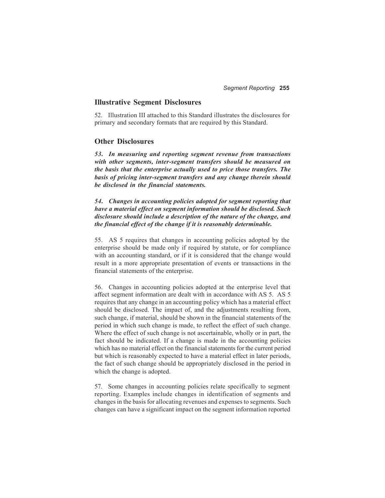#### **Illustrative Segment Disclosures**

52. Illustration III attached to this Standard illustrates the disclosures for primary and secondary formats that are required by this Standard.

#### **Other Disclosures**

*53. In measuring and reporting segment revenue from transactions with other segments, inter-segment transfers should be measured on the basis that the enterprise actually used to price those transfers. The basis of pricing inter-segment transfers and any change therein should be disclosed in the financial statements.*

*54. Changes in accounting policies adopted for segment reporting that have a material effect on segment information should be disclosed. Such disclosure should include a description of the nature of the change, and the financial effect of the change if it is reasonably determinable.*

55. AS 5 requires that changes in accounting policies adopted by the enterprise should be made only if required by statute, or for compliance with an accounting standard, or if it is considered that the change would result in a more appropriate presentation of events or transactions in the financial statements of the enterprise.

56. Changes in accounting policies adopted at the enterprise level that affect segment information are dealt with in accordance with AS 5. AS 5 requires that any change in an accounting policy which has a material effect should be disclosed. The impact of, and the adjustments resulting from, such change, if material, should be shown in the financial statements of the period in which such change is made, to reflect the effect of such change. Where the effect of such change is not ascertainable, wholly or in part, the fact should be indicated. If a change is made in the accounting policies which has no material effect on the financial statements for the current period but which is reasonably expected to have a material effect in later periods, the fact of such change should be appropriately disclosed in the period in which the change is adopted.

57. Some changes in accounting policies relate specifically to segment reporting. Examples include changes in identification of segments and changes in the basis for allocating revenues and expenses to segments. Such changes can have a significant impact on the segment information reported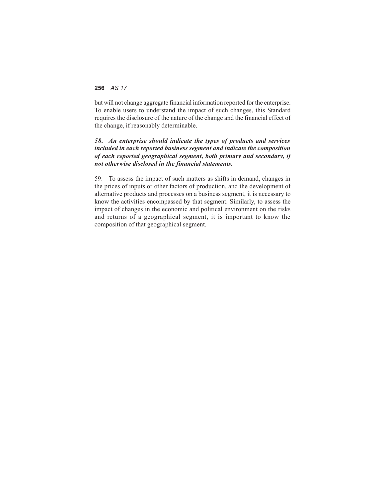but will not change aggregate financial information reported forthe enterprise. To enable users to understand the impact of such changes, this Standard requires the disclosure of the nature of the change and the financial effect of the change, if reasonably determinable.

#### *58. An enterprise should indicate the types of products and services included in each reported business segment and indicate the composition of each reported geographical segment, both primary and secondary, if not otherwise disclosed in the financial statements.*

59. To assess the impact of such matters as shifts in demand, changes in the prices of inputs or other factors of production, and the development of alternative products and processes on a business segment, it is necessary to know the activities encompassed by that segment. Similarly, to assess the impact of changes in the economic and political environment on the risks and returns of a geographical segment, it is important to know the composition of that geographical segment.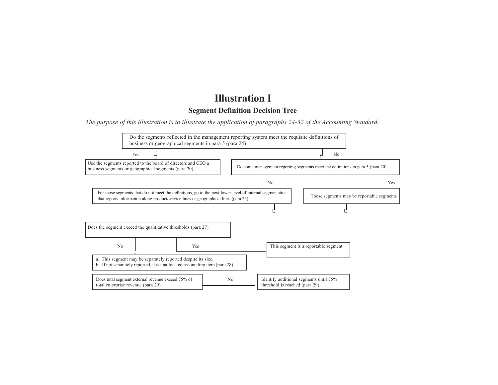## **Illustration ISegment Definition Decision Tree**

*The purpose of this illustration is to illustrate the application of paragraphs 24-32 of the Accounting Standard.*

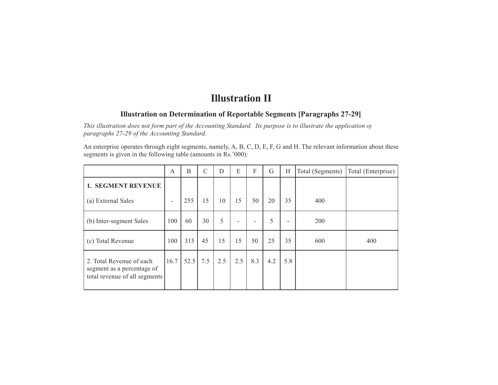## **Illustration II**

### **Illustration on Determination of Reportable Segments [Paragraphs 27-29]**

*This illustration does not form part of the Accounting Standard. Its purpose is to illustrate the application of paragraphs 27-29 of the Accounting Standard.*

An enterprise operates through eight segments, namely, A, B, C, D, E, F, G and H. The relevant information about these segments is given in the following table (amounts in Rs.'000):

|                                                                                         | A    | B    | C   | D   | E                        | F              | G   | H                        | Total (Segments) | Total (Enterprise) |
|-----------------------------------------------------------------------------------------|------|------|-----|-----|--------------------------|----------------|-----|--------------------------|------------------|--------------------|
| <b>1. SEGMENT REVENUE</b>                                                               |      |      |     |     |                          |                |     |                          |                  |                    |
| (a) External Sales                                                                      | -    | 255  | 15  | 10  | 15                       | 50             | 20  | 35                       | 400              |                    |
| (b) Inter-segment Sales                                                                 | 100  | 60   | 30  | 5   | $\overline{\phantom{a}}$ | $\overline{a}$ | 5   | $\overline{\phantom{a}}$ | 200              |                    |
| (c) Total Revenue                                                                       | 100  | 315  | 45  | 15  | 15                       | 50             | 25  | 35                       | 600              | 400                |
| 2. Total Revenue of each<br>segment as a percentage of<br>total revenue of all segments | 16.7 | 52.5 | 7.5 | 2.5 | 2.5                      | 8.3            | 4.2 | 5.8                      |                  |                    |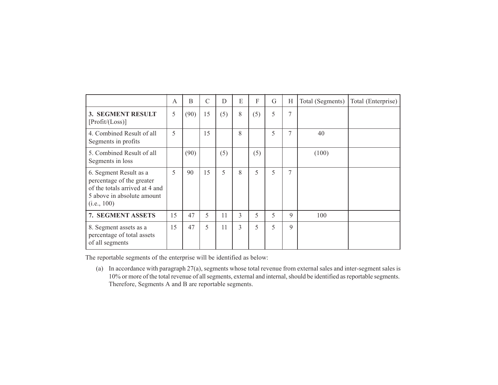|                                                                                                                                    | $\mathsf{A}$ | <sub>B</sub> | $\mathcal{C}$ | D   | E | F   | G | Н              | Total (Segments) | Total (Enterprise) |
|------------------------------------------------------------------------------------------------------------------------------------|--------------|--------------|---------------|-----|---|-----|---|----------------|------------------|--------------------|
| 3. SEGMENT RESULT<br>[Profit / (Loss)]                                                                                             | 5            | (90)         | 15            | (5) | 8 | (5) | 5 | $\overline{7}$ |                  |                    |
| 4. Combined Result of all<br>Segments in profits                                                                                   | 5            |              | 15            |     | 8 |     | 5 | $\overline{7}$ | 40               |                    |
| 5. Combined Result of all<br>Segments in loss                                                                                      |              | (90)         |               | (5) |   | (5) |   |                | (100)            |                    |
| 6. Segment Result as a<br>percentage of the greater<br>of the totals arrived at 4 and<br>5 above in absolute amount<br>(i.e., 100) | 5            | 90           | 15            | 5   | 8 | 5   | 5 | $\overline{7}$ |                  |                    |
| 7. SEGMENT ASSETS                                                                                                                  | 15           | 47           | 5             | 11  | 3 | 5   | 5 | 9              | 100              |                    |
| 8. Segment assets as a<br>percentage of total assets<br>of all segments                                                            | 15           | 47           | 5             | 11  | 3 | 5   | 5 | 9              |                  |                    |

The reportable segments of the enterprise will be identified as below:

(a) In accordance with paragraph 27(a), segments whose total revenue from external sales and inter-segment sales is 10% or more of the total revenue of all segments, external and internal, should be identified as reportable segments. Therefore, Segments A and B are reportable segments.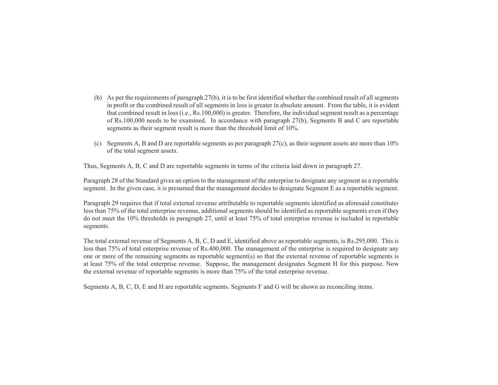- (b) As per the requirements of paragraph 27(b), it is to be first identified whether the combined result of all segments in profit or the combined result of all segments in loss is greater in absolute amount. From the table, it is evident that combined result in loss (i.e., Rs.100,000) is greater. Therefore, the individual segment result as a percentage of Rs.100,000 needs to be examined. In accordance with paragraph 27(b), Segments B and C are reportable segments as their segment result is more than the threshold limit of 10%.
- (c) Segments A, B and D are reportable segments as per paragraph 27(c), as their segment assets are more than 10% of the total segment assets.

Thus, Segments A, B, C and D are reportable segments in terms of the criteria laid down in paragraph 27.

Paragraph 28 of the Standard gives an option to the managemen<sup>t</sup> of the enterprise to designate any segmen<sup>t</sup> as <sup>a</sup> reportable segment. In the given case, it is presumed that the management decides to designate Segment E as a reportable segment.

Paragraph 29 requires that if total external revenue attributable to reportable segments identified as aforesaid constitutes less than 75% of the total enterprise revenue, additional segments should be identified as reportable segments even if they do not meet the 10% thresholds in paragraph 27, until at least 75% of total enterprise revenue is included in reportable segments.

The total external revenue of Segments A, B, C, D and E, identified above as reportable segments, is Rs.295,000. This is less than 75% of total enterprise revenue of Rs.400,000. The management of the enterprise is required to designate any one or more of the remaining segments as reportable segment(s) so that the external revenue of reportable segments is at least 75% of the total enterprise revenue. Suppose, the management designates Segment H for this purpose. Now the external revenue of reportable segments is more than 75% of the total enterprise revenue.

Segments A, B, C, D, E and H are reportable segments. Segments F and G will be shown as reconciling items.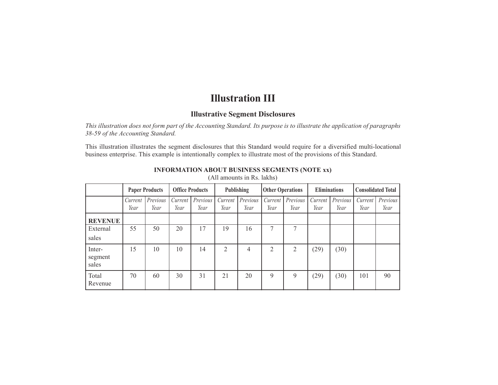## **Illustration III**

### **Illustrative Segment Disclosures**

*This illustration does not form part of the Accounting Standard. Its purpose is to illustrate the application of paragraphs 38-59 of the Accounting Standard.*

This illustration illustrates the segmen<sup>t</sup> disclosures that this Standard would require for <sup>a</sup> diversified multi-locational business enterprise. This example is intentionally complex to illustrate most of the provisions of this Standard.

|                            |                 | <b>Paper Products</b> | <b>Office Products</b> |                  | Publishing      |                  | <b>Other Operations</b> |                  | <b>Eliminations</b> |                  |                 | <b>Consolidated Total</b> |
|----------------------------|-----------------|-----------------------|------------------------|------------------|-----------------|------------------|-------------------------|------------------|---------------------|------------------|-----------------|---------------------------|
|                            | Current<br>Year | Previous<br>Year      | Current<br>Year        | Previous<br>Year | Current<br>Year | Previous<br>Year | Current<br>Year         | Previous<br>Year | Current<br>Year     | Previous<br>Year | Current<br>Year | Previous<br>Year          |
| <b>REVENUE</b>             |                 |                       |                        |                  |                 |                  |                         |                  |                     |                  |                 |                           |
| External<br>sales          | 55              | 50                    | 20                     | 17               | 19              | 16               | $\overline{7}$          | $\overline{7}$   |                     |                  |                 |                           |
| Inter-<br>segment<br>sales | 15              | 10                    | 10                     | 14               | $\overline{2}$  | 4                | $\overline{2}$          | $\overline{2}$   | (29)                | (30)             |                 |                           |
| Total<br>Revenue           | 70              | 60                    | 30                     | 31               | 21              | 20               | 9                       | 9                | (29)                | (30)             | 101             | 90                        |

#### **INFORMATION ABOUT BUSINESS SEGMENTS (NOTE xx)** (All amounts in Rs. lakhs)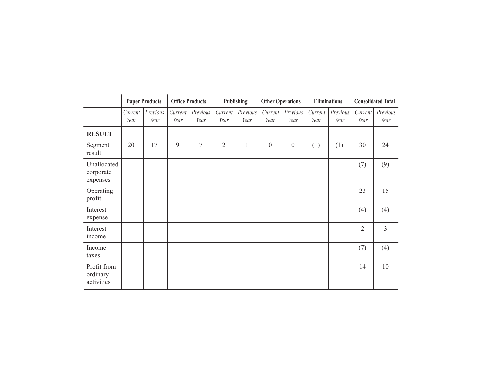|                                       |                 | <b>Paper Products</b> | <b>Office Products</b> |                  |                 | Publishing       | <b>Other Operations</b> |                  |                 | <b>Eliminations</b> |                 | <b>Consolidated Total</b> |
|---------------------------------------|-----------------|-----------------------|------------------------|------------------|-----------------|------------------|-------------------------|------------------|-----------------|---------------------|-----------------|---------------------------|
|                                       | Current<br>Year | Previous<br>Year      | Current<br>Year        | Previous<br>Year | Current<br>Year | Previous<br>Year | Current<br>Year         | Previous<br>Year | Current<br>Year | Previous<br>Year    | Current<br>Year | Previous<br>Year          |
| <b>RESULT</b>                         |                 |                       |                        |                  |                 |                  |                         |                  |                 |                     |                 |                           |
| Segment<br>result                     | 20              | 17                    | 9                      | $\overline{7}$   | $\overline{2}$  | 1                | $\boldsymbol{0}$        | $\boldsymbol{0}$ | (1)             | (1)                 | 30              | 24                        |
| Unallocated<br>corporate<br>expenses  |                 |                       |                        |                  |                 |                  |                         |                  |                 |                     | (7)             | (9)                       |
| Operating<br>profit                   |                 |                       |                        |                  |                 |                  |                         |                  |                 |                     | 23              | 15                        |
| Interest<br>expense                   |                 |                       |                        |                  |                 |                  |                         |                  |                 |                     | (4)             | (4)                       |
| Interest<br>income                    |                 |                       |                        |                  |                 |                  |                         |                  |                 |                     | $\overline{2}$  | $\overline{3}$            |
| Income<br>taxes                       |                 |                       |                        |                  |                 |                  |                         |                  |                 |                     | (7)             | (4)                       |
| Profit from<br>ordinary<br>activities |                 |                       |                        |                  |                 |                  |                         |                  |                 |                     | 14              | 10                        |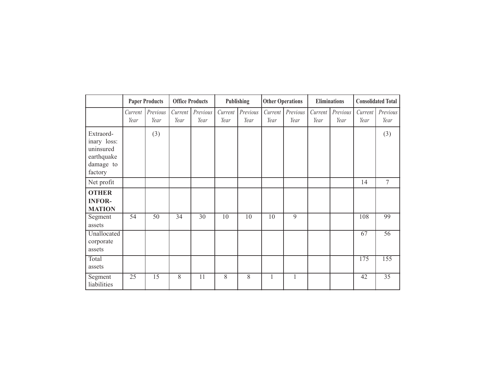|                                                                             |                 | <b>Paper Products</b> | <b>Office Products</b> |                  |                 | Publishing       | <b>Other Operations</b> |                  |                 | <b>Eliminations</b> |                 | <b>Consolidated Total</b> |
|-----------------------------------------------------------------------------|-----------------|-----------------------|------------------------|------------------|-----------------|------------------|-------------------------|------------------|-----------------|---------------------|-----------------|---------------------------|
|                                                                             | Current<br>Year | Previous<br>Year      | Current<br>Year        | Previous<br>Year | Current<br>Year | Previous<br>Year | Current<br>Year         | Previous<br>Year | Current<br>Year | Previous<br>Year    | Current<br>Year | Previous<br>Year          |
| Extraord-<br>inary loss:<br>uninsured<br>earthquake<br>damage to<br>factory |                 | (3)                   |                        |                  |                 |                  |                         |                  |                 |                     |                 | (3)                       |
| Net profit                                                                  |                 |                       |                        |                  |                 |                  |                         |                  |                 |                     | 14              | $\overline{7}$            |
| <b>OTHER</b><br><b>INFOR-</b><br><b>MATION</b>                              |                 |                       |                        |                  |                 |                  |                         |                  |                 |                     |                 |                           |
| Segment<br>assets                                                           | 54              | 50                    | 34                     | 30               | 10              | 10               | 10                      | 9                |                 |                     | 108             | 99                        |
| Unallocated<br>corporate<br>assets                                          |                 |                       |                        |                  |                 |                  |                         |                  |                 |                     | $\overline{67}$ | $\overline{56}$           |
| Total<br>assets                                                             |                 |                       |                        |                  |                 |                  |                         |                  |                 |                     | 175             | 155                       |
| Segment<br>liabilities                                                      | 25              | $\overline{15}$       | $\overline{8}$         | 11               | $\overline{8}$  | $\overline{8}$   | 1                       | 1                |                 |                     | 42              | $\overline{35}$           |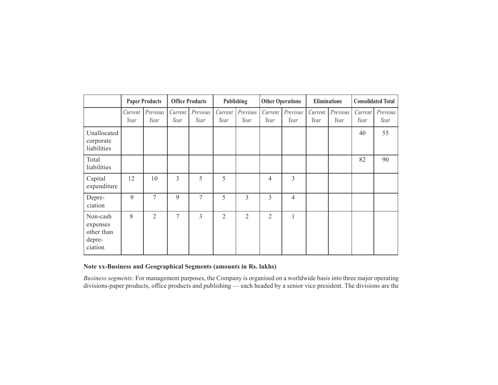|                                                         |                 | <b>Paper Products</b> |                 | <b>Office Products</b> |                 | Publishing       | <b>Other Operations</b> |                  |                 | <b>Eliminations</b> |                 | <b>Consolidated Total</b> |
|---------------------------------------------------------|-----------------|-----------------------|-----------------|------------------------|-----------------|------------------|-------------------------|------------------|-----------------|---------------------|-----------------|---------------------------|
|                                                         | Current<br>Year | Previous<br>Year      | Current<br>Year | Previous<br>Year       | Current<br>Year | Previous<br>Year | Current<br>Year         | Previous<br>Year | Current<br>Year | Previous<br>Year    | Current<br>Year | Previous<br>Year          |
| Unallocated<br>corporate<br>liabilities                 |                 |                       |                 |                        |                 |                  |                         |                  |                 |                     | 40              | 55                        |
| Total<br>liabilities                                    |                 |                       |                 |                        |                 |                  |                         |                  |                 |                     | 82              | 90                        |
| Capital<br>expenditure                                  | 12              | 10                    | $\overline{3}$  | 5                      | 5               |                  | $\overline{4}$          | 3                |                 |                     |                 |                           |
| Depre-<br>ciation                                       | 9               | $\tau$                | 9               | 7                      | 5               | 3                | 3                       | $\overline{4}$   |                 |                     |                 |                           |
| Non-cash<br>expenses<br>other than<br>depre-<br>ciation | 8               | $\overline{2}$        | 7               | 3                      | $\overline{2}$  | $\overline{2}$   | $\overline{2}$          | $\mathbf{1}$     |                 |                     |                 |                           |

### **Note xx-Business and Geographical Segments (amounts in Rs. lakhs)**

*Business segments:* For management purposes, the Company is organised on a worldwide basis into three major operating divisions-paper products, office products and publishing — each headed by a senior vice president. The divisions are the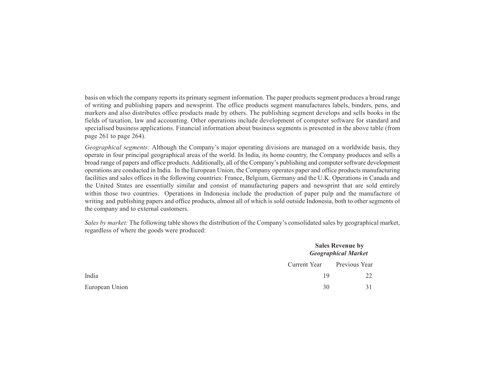basis on which the company reports its primary segmen<sup>t</sup> information. The paper products segmen<sup>t</sup> produces <sup>a</sup> broad range of writing and publishing papers and newsprint. The office products segment manufactures labels, binders, pens, and markers and also distributes office products made by others. The publishing segment develops and sells books in the fields of taxation, law and accounting. Other operations include development of computer software for standard and specialised business applications. Financial information about business segments is presented in the above table (from page 261 to page 264).

*Geographical segments:* Although the Company's major operating divisions are managed on a worldwide basis, they operate in four principal geographical areas of the world. In India, its home country, the Company produces and sells a broad range of papers and office products. Additionally, all of the Company's publishing and computer software development operations are conducted in India. In the European Union, the Company operates paper and office products manufacturing facilities and sales offices in the following countries: France, Belgium, Germany and the U.K. Operations in Canada and the United States are essentially similar and consist of manufacturing papers and newsprint that are sold entirely within those two countries. Operations in Indonesia include the production of paper pulp and the manufacture of writing and publishing papers and office products, almost all of which is sold outside Indonesia, both to other segments of the company and to external customers.

*Sales by market:* The following table shows the distribution of the Company's consolidated sales by geographical market, regardless of where the goods were produced:

|                |              | <b>Sales Revenue by</b><br><b>Geographical Market</b> |
|----------------|--------------|-------------------------------------------------------|
|                | Current Year | Previous Year                                         |
| India          | 19           | 22                                                    |
| European Union | 30           | 31                                                    |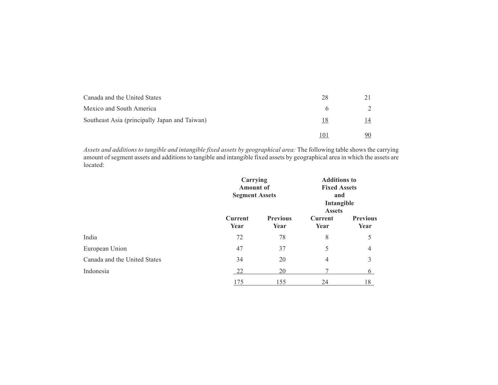| Canada and the United States                  | 28 |  |
|-----------------------------------------------|----|--|
| Mexico and South America                      |    |  |
| Southeast Asia (principally Japan and Taiwan) | 18 |  |
|                                               |    |  |

*Assets and additions to tangible and intangible fixed assets by geographical area:* The following table shows the carrying amount of segment assets and additions to tangible and intangible fixed assets by geographical area in which the assets are located:

|                              |                        | Carrying<br><b>Amount of</b><br><b>Segment Assets</b> |                        |                         |
|------------------------------|------------------------|-------------------------------------------------------|------------------------|-------------------------|
|                              | <b>Current</b><br>Year | <b>Previous</b><br>Year                               | <b>Current</b><br>Year | <b>Previous</b><br>Year |
| India                        | 72                     | 78                                                    | 8                      | 5                       |
| European Union               | 47                     | 37                                                    | 5                      | 4                       |
| Canada and the United States | 34                     | 20                                                    | 4                      | 3                       |
| Indonesia                    | 22                     | 20                                                    |                        | 6                       |
|                              | 175                    | 155                                                   | 24                     | 18                      |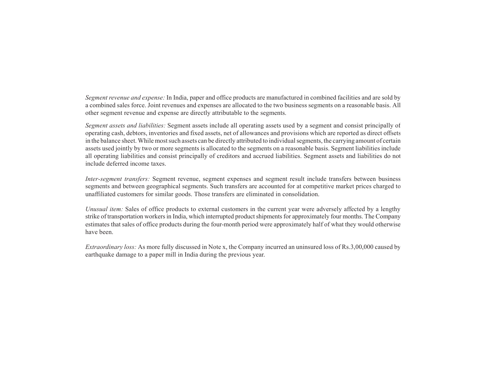*Segment revenue and expense:* In India, paper and office products are manufactured in combined facilities and are sold by a combined sales force. Joint revenues and expenses are allocated to the two business segments on a reasonable basis. All other segment revenue and expense are directly attributable to the segments.

*Segment assets and liabilities:* Segment assets include all operating assets used by a segment and consist principally of operating cash, debtors, inventories and fixed assets, net of allowances and provisions which are reported as direct offsets in the balance sheet. While most such assets can be directly attributed to individual segments, the carrying amount of certain assets used jointly by two or more segments is allocated to the segments on a reasonable basis. Segment liabilities include all operating liabilities and consist principally of creditors and accrued liabilities. Segment assets and liabilities do not include deferred income taxes.

*Inter-segment transfers:* Segment revenue, segment expenses and segment result include transfers between business segments and between geographical segments. Such transfers are accounted for at competitive market prices charged to unaffiliated customers for similar goods. Those transfers are eliminated in consolidation.

*Unusual item:* Sales of office products to external customers in the current year were adversely affected by <sup>a</sup> lengthy strike of transportation workers in India, which interrupted product shipments for approximately four months. The Company estimates that sales of office products during the four-month period were approximately half of what they would otherwise have been.

*Extraordinary loss:* As more fully discussed in Note x, the Company incurred an uninsured loss of Rs.3,00,000 caused by earthquake damage to a paper mill in India during the previous year.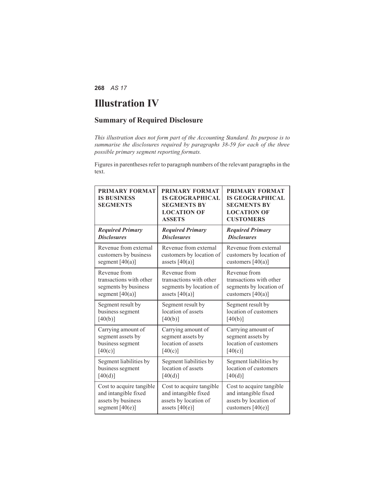## **Illustration IV**

## **Summary of Required Disclosure**

*This illustration does not form part of the Accounting Standard. Its purpose is to summarise the disclosures required by paragraphs 38-59 for each of the three possible primary segment reporting formats.*

Figures in parentheses refer to paragraph numbers of the relevant paragraphs in the text.

| <b>PRIMARY FORMAT</b><br><b>IS BUSINESS</b><br><b>SEGMENTS</b> | <b>PRIMARY FORMAT</b><br><b>IS GEOGRAPHICAL</b><br><b>SEGMENTS BY</b><br><b>LOCATION OF</b><br><b>ASSETS</b> | <b>PRIMARY FORMAT</b><br><b>IS GEOGRAPHICAL</b><br><b>SEGMENTS BY</b><br><b>LOCATION OF</b><br><b>CUSTOMERS</b> |
|----------------------------------------------------------------|--------------------------------------------------------------------------------------------------------------|-----------------------------------------------------------------------------------------------------------------|
| <b>Required Primary</b>                                        | <b>Required Primary</b>                                                                                      | <b>Required Primary</b>                                                                                         |
| <b>Disclosures</b>                                             | <b>Disclosures</b>                                                                                           | <b>Disclosures</b>                                                                                              |
| Revenue from external                                          | Revenue from external                                                                                        | Revenue from external                                                                                           |
| customers by business                                          | customers by location of                                                                                     | customers by location of                                                                                        |
| segment $[40(a)]$                                              | assets $[40(a)]$                                                                                             | customers $[40(a)]$                                                                                             |
| Revenue from                                                   | Revenue from                                                                                                 | Revenue from                                                                                                    |
| transactions with other                                        | transactions with other                                                                                      | transactions with other                                                                                         |
| segments by business                                           | segments by location of                                                                                      | segments by location of                                                                                         |
| segment $[40(a)]$                                              | assets $[40(a)]$                                                                                             | customers $[40(a)]$                                                                                             |
| Segment result by                                              | Segment result by                                                                                            | Segment result by                                                                                               |
| business segment                                               | location of assets                                                                                           | location of customers                                                                                           |
| [40(b)]                                                        | [40(b)]                                                                                                      | [40(b)]                                                                                                         |
| Carrying amount of                                             | Carrying amount of                                                                                           | Carrying amount of                                                                                              |
| segment assets by                                              | segment assets by                                                                                            | segment assets by                                                                                               |
| business segment                                               | location of assets                                                                                           | location of customers                                                                                           |
| [40(c)]                                                        | [40(c)]                                                                                                      | [40(c)]                                                                                                         |
| Segment liabilities by                                         | Segment liabilities by                                                                                       | Segment liabilities by                                                                                          |
| business segment                                               | location of assets                                                                                           | location of customers                                                                                           |
| [40(d)]                                                        | [40(d)]                                                                                                      | [40(d)]                                                                                                         |
| Cost to acquire tangible                                       | Cost to acquire tangible                                                                                     | Cost to acquire tangible                                                                                        |
| and intangible fixed                                           | and intangible fixed                                                                                         | and intangible fixed                                                                                            |
| assets by business                                             | assets by location of                                                                                        | assets by location of                                                                                           |
| segment $[40(e)]$                                              | assets $[40(e)]$                                                                                             | customers $[40(e)]$                                                                                             |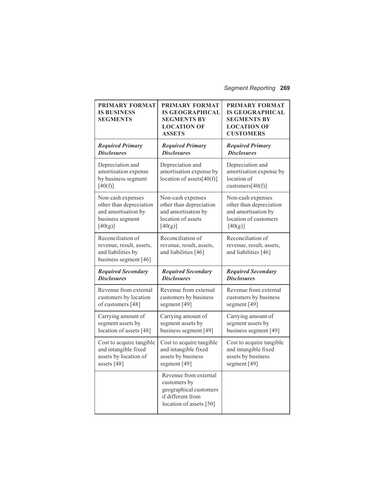*Segment Reporting* **269**

| <b>PRIMARY FORMAT</b><br><b>IS BUSINESS</b><br><b>SEGMENTS</b>                               | <b>PRIMARY FORMAT</b><br><b>IS GEOGRAPHICAL</b><br><b>SEGMENTS BY</b><br><b>LOCATION OF</b><br><b>ASSETS</b>    | <b>PRIMARY FORMAT</b><br><b>IS GEOGRAPHICAL</b><br><b>SEGMENTS BY</b><br><b>LOCATION OF</b><br><b>CUSTOMERS</b> |
|----------------------------------------------------------------------------------------------|-----------------------------------------------------------------------------------------------------------------|-----------------------------------------------------------------------------------------------------------------|
| <b>Required Primary</b>                                                                      | <b>Required Primary</b>                                                                                         | <b>Required Primary</b>                                                                                         |
| <b>Disclosures</b>                                                                           | <b>Disclosures</b>                                                                                              | <b>Disclosures</b>                                                                                              |
| Depreciation and<br>amortisation expense<br>by business segment<br>$[40(f)]$                 | Depreciation and<br>amortisation expense by<br>location of assets $[40(f)]$                                     | Depreciation and<br>amortisation expense by<br>location of<br>customers $[40(f)]$                               |
| Non-cash expenses                                                                            | Non-cash expenses                                                                                               | Non-cash expenses                                                                                               |
| other than depreciation                                                                      | other than depreciation                                                                                         | other than depreciation                                                                                         |
| and amortisation by                                                                          | and amortisation by                                                                                             | and amortisation by                                                                                             |
| business segment                                                                             | location of assets                                                                                              | location of customers                                                                                           |
| [40(g)]                                                                                      | [40(g)]                                                                                                         | [40(g)]                                                                                                         |
| Reconciliation of<br>revenue, result, assets,<br>and liabilities by<br>business segment [46] | Reconciliation of<br>revenue, result, assets,<br>and liabilities [46]                                           | Reconciliation of<br>revenue, result, assets,<br>and liabilities [46]                                           |
| <b>Required Secondary</b>                                                                    | <b>Required Secondary</b>                                                                                       | <b>Required Secondary</b>                                                                                       |
| <b>Disclosures</b>                                                                           | <b>Disclosures</b>                                                                                              | <b>Disclosures</b>                                                                                              |
| Revenue from external                                                                        | Revenue from external                                                                                           | Revenue from external                                                                                           |
| customers by location                                                                        | customers by business                                                                                           | customers by business                                                                                           |
| of customers [48]                                                                            | segment [49]                                                                                                    | segment [49]                                                                                                    |
| Carrying amount of                                                                           | Carrying amount of                                                                                              | Carrying amount of                                                                                              |
| segment assets by                                                                            | segment assets by                                                                                               | segment assets by                                                                                               |
| location of assets [48]                                                                      | business segment [49]                                                                                           | business segment [49]                                                                                           |
| Cost to acquire tangible                                                                     | Cost to acquire tangible                                                                                        | Cost to acquire tangible                                                                                        |
| and intangible fixed                                                                         | and intangible fixed                                                                                            | and intangible fixed                                                                                            |
| assets by location of                                                                        | assets by business                                                                                              | assets by business                                                                                              |
| assets [48]                                                                                  | segment [49]                                                                                                    | segment [49]                                                                                                    |
|                                                                                              | Revenue from external<br>customers by<br>geographical customers<br>if different from<br>location of assets [50] |                                                                                                                 |